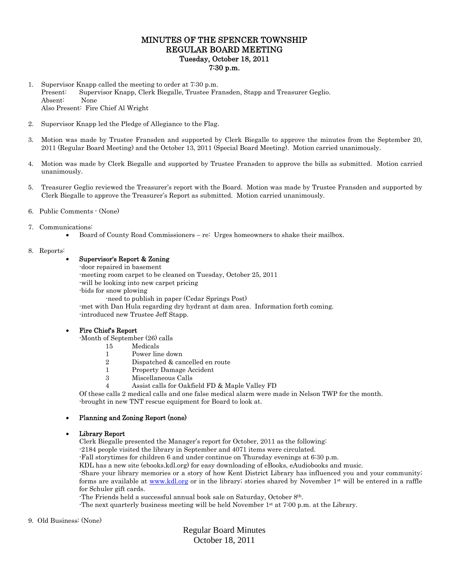# MINUTES OF THE SPENCER TOWNSHIP REGULAR BOARD MEETING Tuesday, October 18, 2011 7:30 p.m.

- 1. Supervisor Knapp called the meeting to order at 7:30 p.m. Present: Supervisor Knapp, Clerk Biegalle, Trustee Fransden, Stapp and Treasurer Geglio. Absent: None Also Present: Fire Chief Al Wright
- 2. Supervisor Knapp led the Pledge of Allegiance to the Flag.
- 3. Motion was made by Trustee Fransden and supported by Clerk Biegalle to approve the minutes from the September 20, 2011 (Regular Board Meeting) and the October 13, 2011 (Special Board Meeting). Motion carried unanimously.
- 4. Motion was made by Clerk Biegalle and supported by Trustee Fransden to approve the bills as submitted. Motion carried unanimously.
- 5. Treasurer Geglio reviewed the Treasurer's report with the Board. Motion was made by Trustee Fransden and supported by Clerk Biegalle to approve the Treasurer's Report as submitted. Motion carried unanimously.
- 6. Public Comments (None)

## 7. Communications:

Board of County Road Commissioners – re: Urges homeowners to shake their mailbox.

## 8. Reports:

# Supervisor's Report & Zoning

-door repaired in basement -meeting room carpet to be cleaned on Tuesday, October 25, 2011 -will be looking into new carpet pricing -bids for snow plowing -need to publish in paper (Cedar Springs Post) -met with Dan Hula regarding dry hydrant at dam area. Information forth coming.

# Fire Chief's Report

-Month of September (26) calls

15 Medicals

-introduced new Trustee Jeff Stapp.

- 1 Power line down
- 2 Dispatched & cancelled en route
- 1 Property Damage Accident
- 3 Miscellaneous Calls
- 4 Assist calls for Oakfield FD & Maple Valley FD

Of these calls 2 medical calls and one false medical alarm were made in Nelson TWP for the month. -brought in new TNT rescue equipment for Board to look at.

# Planning and Zoning Report (none)

#### Library Report

Clerk Biegalle presented the Manager's report for October, 2011 as the following:

-2184 people visited the library in September and 4071 items were circulated.

-Fall storytimes for children 6 and under continue on Thursday evenings at 6:30 p.m.

KDL has a new site (ebooks.kdl.org) for easy downloading of eBooks, eAudiobooks and music.

-Share your library memories or a story of how Kent District Library has influenced you and your community; forms are available at www.kdl.org or in the library; stories shared by November  $1<sup>st</sup>$  will be entered in a raffle for Schuler gift cards.

-The Friends held a successful annual book sale on Saturday, October 8th.

-The next quarterly business meeting will be held November 1st at 7:00 p.m. at the Library.

#### 9. Old Business: (None)

Regular Board Minutes October 18, 2011